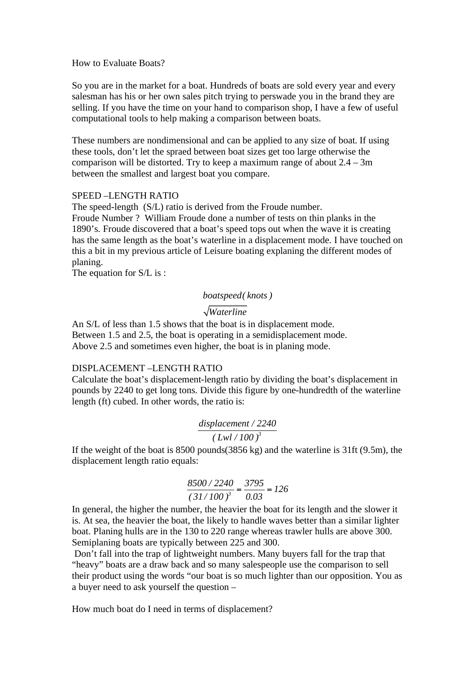#### How to Evaluate Boats?

So you are in the market for a boat. Hundreds of boats are sold every year and every salesman has his or her own sales pitch trying to perswade you in the brand they are selling. If you have the time on your hand to comparison shop, I have a few of useful computational tools to help making a comparison between boats.

These numbers are nondimensional and can be applied to any size of boat. If using these tools, don't let the spraed between boat sizes get too large otherwise the comparison will be distorted. Try to keep a maximum range of about  $2.4 - 3m$ between the smallest and largest boat you compare.

#### SPEED –LENGTH RATIO

The speed-length (S/L) ratio is derived from the Froude number. Froude Number ? William Froude done a number of tests on thin planks in the 1890's. Froude discovered that a boat's speed tops out when the wave it is creating has the same length as the boat's waterline in a displacement mode. I have touched on this a bit in my previous article of Leisure boating explaning the different modes of planing.

The equation for S/L is :

#### *boatspeed( knots )*

### *Waterline*

An S/L of less than 1.5 shows that the boat is in displacement mode. Between 1.5 and 2.5, the boat is operating in a semidisplacement mode. Above 2.5 and sometimes even higher, the boat is in planing mode.

#### DISPLACEMENT –LENGTH RATIO

Calculate the boat's displacement-length ratio by dividing the boat's displacement in pounds by 2240 to get long tons. Divide this figure by one-hundredth of the waterline length (ft) cubed. In other words, the ratio is:

#### *3 displacement / 2240 ( Lwl / 100 )*

If the weight of the boat is 8500 pounds(3856 kg) and the waterline is 31ft (9.5m), the displacement length ratio equals:

$$
\frac{8500/2240}{(31/100)^3} = \frac{3795}{0.03} = 126
$$

In general, the higher the number, the heavier the boat for its length and the slower it is. At sea, the heavier the boat, the likely to handle waves better than a similar lighter boat. Planing hulls are in the 130 to 220 range whereas trawler hulls are above 300. Semiplaning boats are typically between 225 and 300.

 Don't fall into the trap of lightweight numbers. Many buyers fall for the trap that "heavy" boats are a draw back and so many salespeople use the comparison to sell their product using the words "our boat is so much lighter than our opposition. You as a buyer need to ask yourself the question –

How much boat do I need in terms of displacement?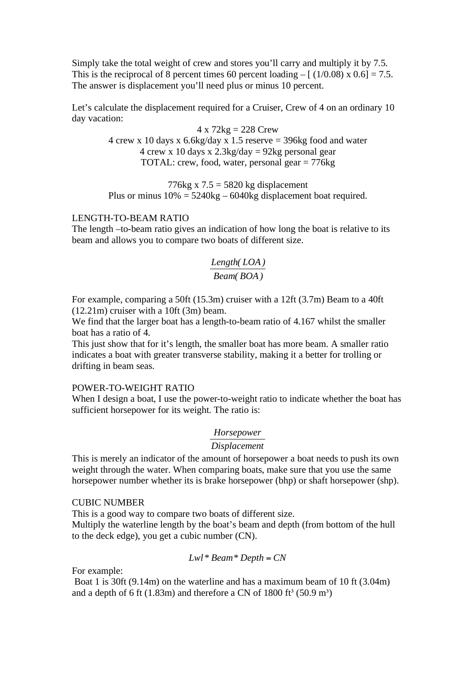Simply take the total weight of crew and stores you'll carry and multiply it by 7.5. This is the reciprocal of 8 percent times 60 percent loading  $-[ (1/0.08) \times 0.6] = 7.5$ . The answer is displacement you'll need plus or minus 10 percent.

Let's calculate the displacement required for a Cruiser, Crew of 4 on an ordinary 10 day vacation:

> $4 \times 72kg = 228$  Crew 4 crew x 10 days x  $6.6\text{kg/day}$  x 1.5 reserve = 396kg food and water 4 crew x 10 days x  $2.3\text{kg/day} = 92\text{kg}$  personal gear TOTAL: crew, food, water, personal gear  $= 776$ kg

> 776kg x  $7.5 = 5820$  kg displacement Plus or minus  $10\% = 5240kg - 6040kg$  displacement boat required.

#### LENGTH-TO-BEAM RATIO

The length –to-beam ratio gives an indication of how long the boat is relative to its beam and allows you to compare two boats of different size.

## *Length( LOA ) Beam( BOA )*

For example, comparing a 50ft (15.3m) cruiser with a 12ft (3.7m) Beam to a 40ft (12.21m) cruiser with a 10ft (3m) beam.

We find that the larger boat has a length-to-beam ratio of 4.167 whilst the smaller boat has a ratio of 4.

This just show that for it's length, the smaller boat has more beam. A smaller ratio indicates a boat with greater transverse stability, making it a better for trolling or drifting in beam seas.

#### POWER-TO-WEIGHT RATIO

When I design a boat, I use the power-to-weight ratio to indicate whether the boat has sufficient horsepower for its weight. The ratio is:

#### *Horsepower*

#### *Displacement*

This is merely an indicator of the amount of horsepower a boat needs to push its own weight through the water. When comparing boats, make sure that you use the same horsepower number whether its is brake horsepower (bhp) or shaft horsepower (shp).

#### CUBIC NUMBER

This is a good way to compare two boats of different size. Multiply the waterline length by the boat's beam and depth (from bottom of the hull to the deck edge), you get a cubic number (CN).

### *Lwl* \* *Beam* \* *Depth* =  $CN$

For example:

 Boat 1 is 30ft (9.14m) on the waterline and has a maximum beam of 10 ft (3.04m) and a depth of 6 ft  $(1.83m)$  and therefore a CN of 1800 ft<sup>3</sup> (50.9 m<sup>3</sup>)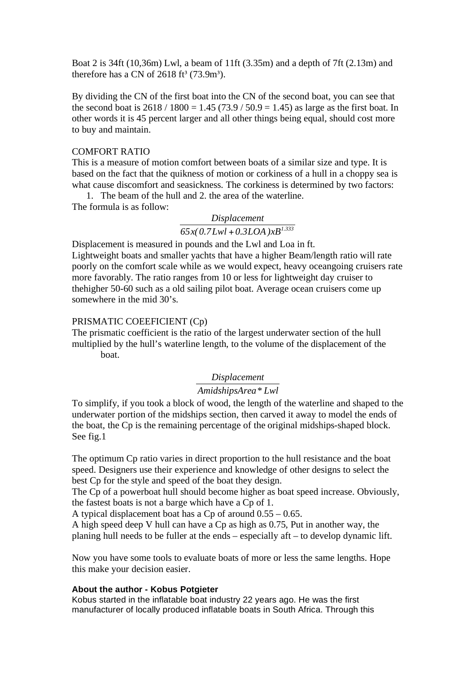Boat 2 is 34ft (10,36m) Lwl, a beam of 11ft (3.35m) and a depth of 7ft (2.13m) and therefore has a CN of  $2618 \text{ ft}^3$  (73.9m<sup>3</sup>).

By dividing the CN of the first boat into the CN of the second boat, you can see that the second boat is  $2618 / 1800 = 1.45 (73.9 / 50.9 = 1.45)$  as large as the first boat. In other words it is 45 percent larger and all other things being equal, should cost more to buy and maintain.

#### COMFORT RATIO

This is a measure of motion comfort between boats of a similar size and type. It is based on the fact that the quikness of motion or corkiness of a hull in a choppy sea is what cause discomfort and seasickness. The corkiness is determined by two factors:

1. The beam of the hull and 2. the area of the waterline. The formula is as follow:

## *Displacement*

 $65x($   $0.7Lwl + 0.3LOA$   $)xB^{1.333}$ 

Displacement is measured in pounds and the Lwl and Loa in ft. Lightweight boats and smaller yachts that have a higher Beam/length ratio will rate poorly on the comfort scale while as we would expect, heavy oceangoing cruisers rate more favorably. The ratio ranges from 10 or less for lightweight day cruiser to thehigher 50-60 such as a old sailing pilot boat. Average ocean cruisers come up somewhere in the mid 30's.

#### PRISMATIC COEEFICIENT (Cp)

The prismatic coefficient is the ratio of the largest underwater section of the hull multiplied by the hull's waterline length, to the volume of the displacement of the boat.

### *Displacement*

# *AmidshipsArea\* Lwl*

To simplify, if you took a block of wood, the length of the waterline and shaped to the underwater portion of the midships section, then carved it away to model the ends of the boat, the Cp is the remaining percentage of the original midships-shaped block. See fig.1

The optimum Cp ratio varies in direct proportion to the hull resistance and the boat speed. Designers use their experience and knowledge of other designs to select the best Cp for the style and speed of the boat they design.

The Cp of a powerboat hull should become higher as boat speed increase. Obviously, the fastest boats is not a barge which have a Cp of 1.

A typical displacement boat has a Cp of around  $0.55 - 0.65$ .

A high speed deep V hull can have a Cp as high as 0.75, Put in another way, the planing hull needs to be fuller at the ends – especially aft – to develop dynamic lift.

Now you have some tools to evaluate boats of more or less the same lengths. Hope this make your decision easier.

#### **About the author - Kobus Potgieter**

Kobus started in the inflatable boat industry 22 years ago. He was the first manufacturer of locally produced inflatable boats in South Africa. Through this